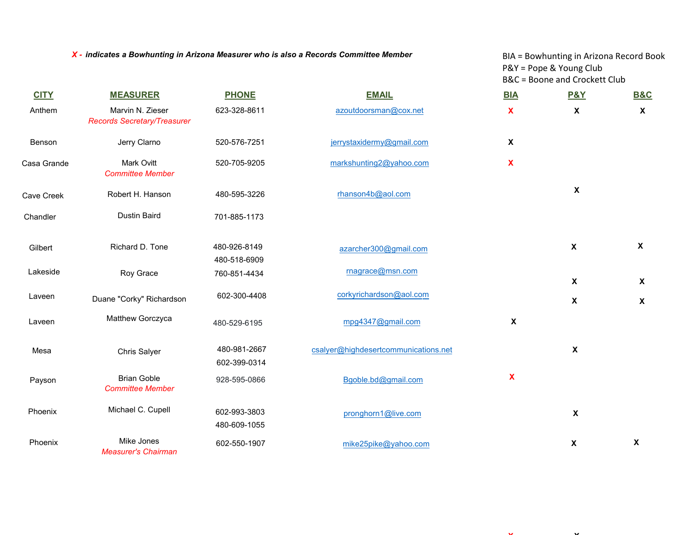*X - indicates a Bowhunting in Arizona Measurer who is also a Records Committee Member*

BIA = Bowhunting in Arizona Record Book P&Y = Pope & Young Club B&C = Boone and Crockett Club

 $\mathbf{X}$  **X**  $\mathbf{X}$ 

| <b>CITY</b> | <b>MEASURER</b>                                        | <b>PHONE</b>                 | <b>EMAIL</b>                         | <b>BIA</b>   | <b>P&amp;Y</b>            | <b>B&amp;C</b>            |
|-------------|--------------------------------------------------------|------------------------------|--------------------------------------|--------------|---------------------------|---------------------------|
| Anthem      | Marvin N. Zieser<br><b>Records Secretary/Treasurer</b> | 623-328-8611                 | azoutdoorsman@cox.net                | X            | $\boldsymbol{\mathsf{X}}$ | $\boldsymbol{\mathsf{X}}$ |
| Benson      | Jerry Clarno                                           | 520-576-7251                 | jerrystaxidermy@gmail.com            | X            |                           |                           |
| Casa Grande | <b>Mark Ovitt</b><br><b>Committee Member</b>           | 520-705-9205                 | markshunting2@yahoo.com              | X            |                           |                           |
| Cave Creek  | Robert H. Hanson                                       | 480-595-3226                 | rhanson4b@aol.com                    |              | $\pmb{\mathsf{X}}$        |                           |
| Chandler    | <b>Dustin Baird</b>                                    | 701-885-1173                 |                                      |              |                           |                           |
| Gilbert     | Richard D. Tone                                        | 480-926-8149<br>480-518-6909 | azarcher300@gmail.com                |              | $\pmb{\mathsf{X}}$        | $\boldsymbol{\mathsf{X}}$ |
| Lakeside    | Roy Grace                                              | 760-851-4434                 | rnagrace@msn.com                     |              | $\boldsymbol{\mathsf{X}}$ | $\boldsymbol{\mathsf{X}}$ |
| Laveen      | Duane "Corky" Richardson                               | 602-300-4408                 | corkyrichardson@aol.com              |              | X                         | $\pmb{\chi}$              |
| Laveen      | Matthew Gorczyca                                       | 480-529-6195                 | mpg4347@gmail.com                    | $\pmb{\chi}$ |                           |                           |
| Mesa        | Chris Salyer                                           | 480-981-2667<br>602-399-0314 | csalyer@highdesertcommunications.net |              | $\boldsymbol{\mathsf{X}}$ |                           |
| Payson      | <b>Brian Goble</b><br><b>Committee Member</b>          | 928-595-0866                 | Bgoble.bd@gmail.com                  | $\mathbf x$  |                           |                           |
| Phoenix     | Michael C. Cupell                                      | 602-993-3803<br>480-609-1055 | pronghorn1@live.com                  |              | $\boldsymbol{\mathsf{X}}$ |                           |
| Phoenix     | Mike Jones<br><b>Measurer's Chairman</b>               | 602-550-1907                 | mike25pike@yahoo.com                 |              | $\boldsymbol{\mathsf{X}}$ | $\pmb{\chi}$              |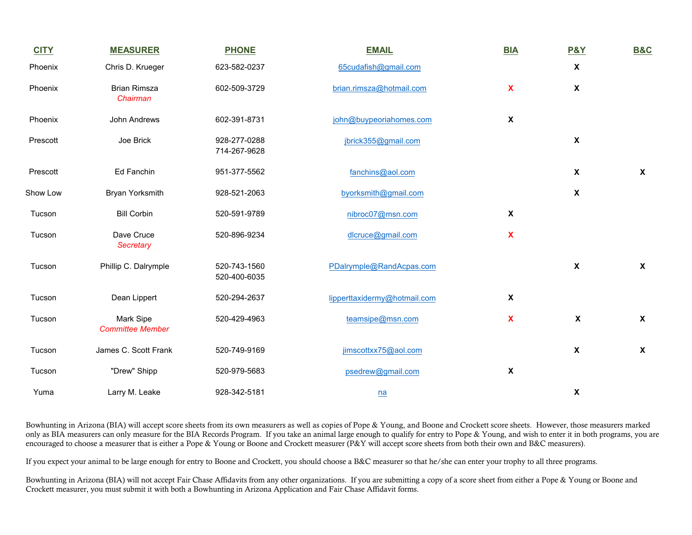| <b>CITY</b> | <b>MEASURER</b>                      | <b>PHONE</b>                 | <b>EMAIL</b>                 | <b>BIA</b>                | <b>P&amp;Y</b>            | <b>B&amp;C</b>            |
|-------------|--------------------------------------|------------------------------|------------------------------|---------------------------|---------------------------|---------------------------|
| Phoenix     | Chris D. Krueger                     | 623-582-0237                 | 65cudafish@gmail.com         |                           | $\pmb{\chi}$              |                           |
| Phoenix     | <b>Brian Rimsza</b><br>Chairman      | 602-509-3729                 | brian.rimsza@hotmail.com     | $\mathbf{x}$              | $\pmb{\chi}$              |                           |
| Phoenix     | John Andrews                         | 602-391-8731                 | john@buypeoriahomes.com      | $\boldsymbol{\mathsf{X}}$ |                           |                           |
| Prescott    | Joe Brick                            | 928-277-0288<br>714-267-9628 | jbrick355@gmail.com          |                           | $\pmb{\chi}$              |                           |
| Prescott    | Ed Fanchin                           | 951-377-5562                 | fanchins@aol.com             |                           | $\pmb{\chi}$              | $\boldsymbol{\mathsf{X}}$ |
| Show Low    | <b>Bryan Yorksmith</b>               | 928-521-2063                 | byorksmith@gmail.com         |                           | $\pmb{\chi}$              |                           |
| Tucson      | <b>Bill Corbin</b>                   | 520-591-9789                 | nibroc07@msn.com             | $\boldsymbol{\mathsf{X}}$ |                           |                           |
| Tucson      | Dave Cruce<br>Secretary              | 520-896-9234                 | dlcruce@gmail.com            | $\mathbf x$               |                           |                           |
| Tucson      | Phillip C. Dalrymple                 | 520-743-1560<br>520-400-6035 | PDalrymple@RandAcpas.com     |                           | $\pmb{\chi}$              | $\mathsf{x}$              |
| Tucson      | Dean Lippert                         | 520-294-2637                 | lipperttaxidermy@hotmail.com | $\boldsymbol{\mathsf{X}}$ |                           |                           |
| Tucson      | Mark Sipe<br><b>Committee Member</b> | 520-429-4963                 | teamsipe@msn.com             | X                         | $\boldsymbol{\mathsf{X}}$ | $\boldsymbol{\mathsf{X}}$ |
| Tucson      | James C. Scott Frank                 | 520-749-9169                 | jimscottxx75@aol.com         |                           | $\pmb{\chi}$              | $\pmb{\chi}$              |
| Tucson      | "Drew" Shipp                         | 520-979-5683                 | psedrew@gmail.com            | $\pmb{\mathsf{X}}$        |                           |                           |
| Yuma        | Larry M. Leake                       | 928-342-5181                 | n <b>a</b>                   |                           | X                         |                           |

Bowhunting in Arizona (BIA) will accept score sheets from its own measurers as well as copies of Pope & Young, and Boone and Crockett score sheets. However, those measurers marked only as BIA measurers can only measure for the BIA Records Program. If you take an animal large enough to qualify for entry to Pope & Young, and wish to enter it in both programs, you are encouraged to choose a measurer that is either a Pope & Young or Boone and Crockett measurer (P&Y will accept score sheets from both their own and B&C measurers).

If you expect your animal to be large enough for entry to Boone and Crockett, you should choose a B&C measurer so that he/she can enter your trophy to all three programs.

Bowhunting in Arizona (BIA) will not accept Fair Chase Affidavits from any other organizations. If you are submitting a copy of a score sheet from either a Pope & Young or Boone and Crockett measurer, you must submit it with both a Bowhunting in Arizona Application and Fair Chase Affidavit forms.